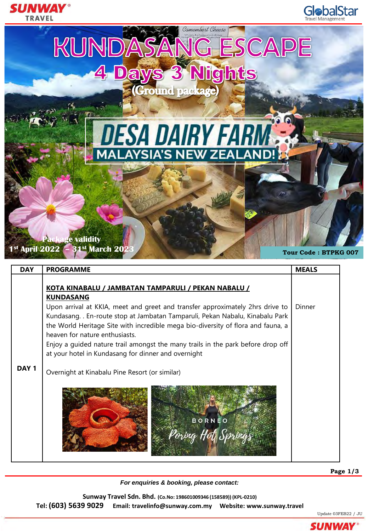

| <b>DAY</b>       | <b>PROGRAMME</b>                                                                                                                                                                                                                                                                  | <b>MEALS</b> |  |  |  |  |  |
|------------------|-----------------------------------------------------------------------------------------------------------------------------------------------------------------------------------------------------------------------------------------------------------------------------------|--------------|--|--|--|--|--|
|                  | KOTA KINABALU / JAMBATAN TAMPARULI / PEKAN NABALU /<br><b>KUNDASANG</b>                                                                                                                                                                                                           |              |  |  |  |  |  |
|                  | Upon arrival at KKIA, meet and greet and transfer approximately 2hrs drive to<br>Kundasang En-route stop at Jambatan Tamparuli, Pekan Nabalu, Kinabalu Park<br>the World Heritage Site with incredible mega bio-diversity of flora and fauna, a<br>heaven for nature enthusiasts. | Dinner       |  |  |  |  |  |
|                  | Enjoy a guided nature trail amongst the many trails in the park before drop off<br>at your hotel in Kundasang for dinner and overnight                                                                                                                                            |              |  |  |  |  |  |
| DAY <sub>1</sub> | Overnight at Kinabalu Pine Resort (or similar)                                                                                                                                                                                                                                    |              |  |  |  |  |  |
|                  | <b>BORNEO</b>                                                                                                                                                                                                                                                                     |              |  |  |  |  |  |

*For enquiries & booking, please contact:*

**Sunway Travel Sdn. Bhd. (Co.No: 198601009346 (158589)) (KPL-0210) Tel: (603) 5639 9029 Email: travelinfo@sunway.com.my Website: www.sunway.travel** 



SUNWAY

Update 03FEB22 / JU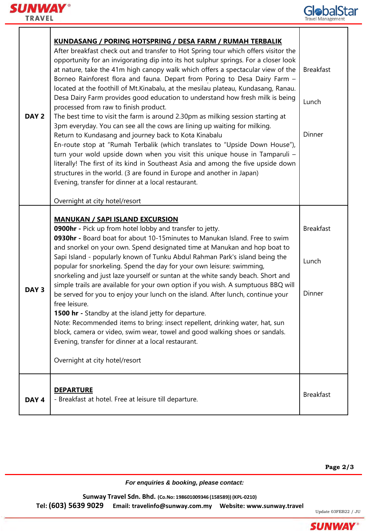



T

| DAY <sub>2</sub> | <b>KUNDASANG / PORING HOTSPRING / DESA FARM / RUMAH TERBALIK</b><br>After breakfast check out and transfer to Hot Spring tour which offers visitor the<br>opportunity for an invigorating dip into its hot sulphur springs. For a closer look<br>at nature, take the 41m high canopy walk which offers a spectacular view of the<br>Borneo Rainforest flora and fauna. Depart from Poring to Desa Dairy Farm -<br>located at the foothill of Mt.Kinabalu, at the mesilau plateau, Kundasang, Ranau.<br>Desa Dairy Farm provides good education to understand how fresh milk is being<br>processed from raw to finish product.<br>The best time to visit the farm is around 2.30pm as milking session starting at<br>3pm everyday. You can see all the cows are lining up waiting for milking.<br>Return to Kundasang and journey back to Kota Kinabalu<br>En-route stop at "Rumah Terbalik (which translates to "Upside Down House"),<br>turn your wold upside down when you visit this unique house in Tamparuli -<br>literally! The first of its kind in Southeast Asia and among the five upside down<br>structures in the world. (3 are found in Europe and another in Japan)<br>Evening, transfer for dinner at a local restaurant.<br>Overnight at city hotel/resort | <b>Breakfast</b><br>Lunch<br>Dinner |
|------------------|----------------------------------------------------------------------------------------------------------------------------------------------------------------------------------------------------------------------------------------------------------------------------------------------------------------------------------------------------------------------------------------------------------------------------------------------------------------------------------------------------------------------------------------------------------------------------------------------------------------------------------------------------------------------------------------------------------------------------------------------------------------------------------------------------------------------------------------------------------------------------------------------------------------------------------------------------------------------------------------------------------------------------------------------------------------------------------------------------------------------------------------------------------------------------------------------------------------------------------------------------------------------------|-------------------------------------|
| DAY <sub>3</sub> | <b>MANUKAN / SAPI ISLAND EXCURSION</b><br>0900hr - Pick up from hotel lobby and transfer to jetty.<br>0930hr - Board boat for about 10-15minutes to Manukan Island. Free to swim<br>and snorkel on your own. Spend designated time at Manukan and hop boat to<br>Sapi Island - popularly known of Tunku Abdul Rahman Park's island being the<br>popular for snorkeling. Spend the day for your own leisure: swimming,<br>snorkeling and just laze yourself or suntan at the white sandy beach. Short and<br>simple trails are available for your own option if you wish. A sumptuous BBQ will<br>be served for you to enjoy your lunch on the island. After lunch, continue your<br>free leisure.<br>1500 hr - Standby at the island jetty for departure.<br>Note: Recommended items to bring: insect repellent, drinking water, hat, sun<br>block, camera or video, swim wear, towel and good walking shoes or sandals.<br>Evening, transfer for dinner at a local restaurant.<br>Overnight at city hotel/resort                                                                                                                                                                                                                                                          | <b>Breakfast</b><br>Lunch<br>Dinner |
| DAY <sub>4</sub> | <b>DEPARTURE</b><br>- Breakfast at hotel. Free at leisure till departure.                                                                                                                                                                                                                                                                                                                                                                                                                                                                                                                                                                                                                                                                                                                                                                                                                                                                                                                                                                                                                                                                                                                                                                                                  | <b>Breakfast</b>                    |

**Page 2/3**

*For enquiries & booking, please contact:*

**Sunway Travel Sdn. Bhd. (Co.No: 198601009346 (158589)) (KPL-0210) Tel: (603) 5639 9029 Email: travelinfo@sunway.com.my Website: www.sunway.travel** 



**SUNWAY**